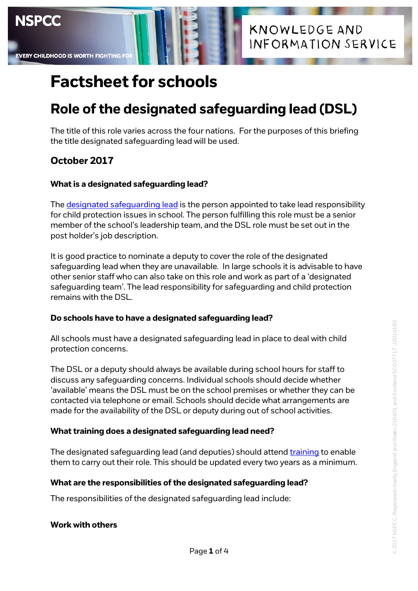# **Role of the designated safeguarding lead (DSL)**

The title of this role varies across the four nations. For the purposes of this briefing the title designated safeguarding lead will be used.

## **October 2017**

**EVERY CHILDHOOD IS WORTH FIGHTING** 

**NSPCC** 

## **What is a designated safeguarding lead?**

Th[e designated safeguarding lead](https://www.nspcc.org.uk/what-you-can-do/get-expert-training/england-designated-safeguarding-lead-for-schools-colleges-england/) is the person appointed to take lead responsibility for child protection issues in school. The person fulfilling this role must be a senior member of the school's leadership team, and the DSL role must be set out in the post holder's job description.

It is good practice to nominate a deputy to cover the role of the designated safeguarding lead when they are unavailable. In large schools it is advisable to have other senior staff who can also take on this role and work as part of a 'designated safeguarding team'. The lead responsibility for safeguarding and child protection remains with the DSL.

## **Do schools have to have a designated safeguarding lead?**

All schools must have a designated safeguarding lead in place to deal with child protection concerns.

The DSL or a deputy should always be available during school hours for staff to discuss any safeguarding concerns. Individual schools should decide whether 'available' means the DSL must be on the school premises or whether they can be contacted via telephone or email. Schools should decide what arrangements are made for the availability of the DSL or deputy during out of school activities.

## **What training does a designated safeguarding lead need?**

The designated safeguarding lead (and deputies) should attend [training](https://www.nspcc.org.uk/what-you-can-do/get-expert-training/) to enable them to carry out their role. This should be updated every two years as a minimum.

## **What are the responsibilities of the designated safeguarding lead?**

The responsibilities of the designated safeguarding lead include:

## **Work with others**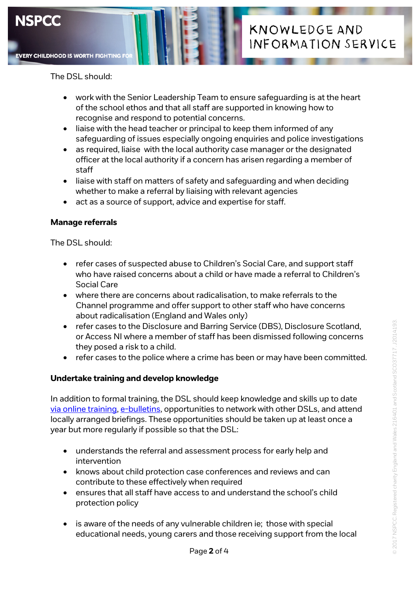

The DSL should:

- work with the Senior Leadership Team to ensure safeguarding is at the heart of the school ethos and that all staff are supported in knowing how to recognise and respond to potential concerns.
- liaise with the head teacher or principal to keep them informed of any safeguarding of issues especially ongoing enquiries and police investigations
- as required, liaise with the local authority case manager or the designated officer at the local authority if a concern has arisen regarding a member of staff
- liaise with staff on matters of safety and safeguarding and when deciding whether to make a referral by liaising with relevant agencies
- act as a source of support, advice and expertise for staff.

#### **Manage referrals**

The DSL should:

- refer cases of suspected abuse to Children's Social Care, and support staff who have raised concerns about a child or have made a referral to Children's Social Care
- where there are concerns about radicalisation, to make referrals to the Channel programme and offer support to other staff who have concerns about radicalisation (England and Wales only)
- refer cases to the Disclosure and Barring Service (DBS), Disclosure Scotland, or Access NI where a member of staff has been dismissed following concerns they posed a risk to a child.
- refer cases to the police where a crime has been or may have been committed.

#### **Undertake training and develop knowledge**

In addition to formal training, the DSL should keep knowledge and skills up to date [via online training,](https://www.nspcc.org.uk/what-you-can-do/get-expert-training/) [e-bulletins,](https://www.nspcc.org.uk/preventing-abuse/safeguarding/schools-protecting-children-abuse-neglect/sign-up-to-safeguarding-in-education-update/) opportunities to network with other DSLs, and attend locally arranged briefings. These opportunities should be taken up at least once a year but more regularly if possible so that the DSL:

- understands the referral and assessment process for early help and intervention
- knows about child protection case conferences and reviews and can contribute to these effectively when required
- ensures that all staff have access to and understand the school's child protection policy
- is aware of the needs of any vulnerable children ie; those with special educational needs, young carers and those receiving support from the local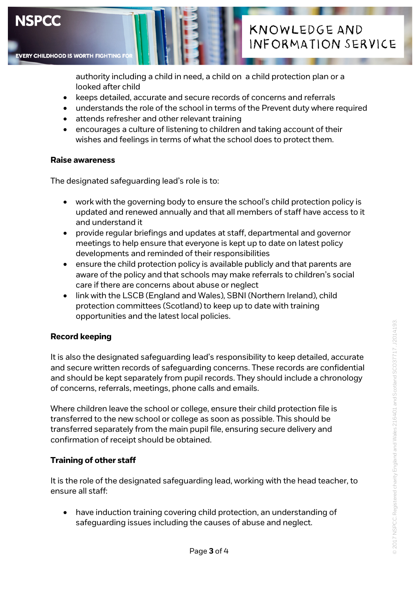

authority including a child in need, a child on a child protection plan or a looked after child

- keeps detailed, accurate and secure records of concerns and referrals
- understands the role of the school in terms of the Prevent duty where required
- attends refresher and other relevant training
- encourages a culture of listening to children and taking account of their wishes and feelings in terms of what the school does to protect them.

#### **Raise awareness**

The designated safeguarding lead's role is to:

- work with the governing body to ensure the school's child protection policy is updated and renewed annually and that all members of staff have access to it and understand it
- provide regular briefings and updates at staff, departmental and governor meetings to help ensure that everyone is kept up to date on latest policy developments and reminded of their responsibilities
- ensure the child protection policy is available publicly and that parents are aware of the policy and that schools may make referrals to children's social care if there are concerns about abuse or neglect
- link with the LSCB (England and Wales), SBNI (Northern Ireland), child protection committees (Scotland) to keep up to date with training opportunities and the latest local policies.

#### **Record keeping**

It is also the designated safeguarding lead's responsibility to keep detailed, accurate and secure written records of safeguarding concerns. These records are confidential and should be kept separately from pupil records. They should include a chronology of concerns, referrals, meetings, phone calls and emails.

Where children leave the school or college, ensure their child protection file is transferred to the new school or college as soon as possible. This should be transferred separately from the main pupil file, ensuring secure delivery and confirmation of receipt should be obtained.

#### **Training of other staff**

It is the role of the designated safeguarding lead, working with the head teacher, to ensure all staff:

• have induction training covering child protection, an understanding of safeguarding issues including the causes of abuse and neglect.